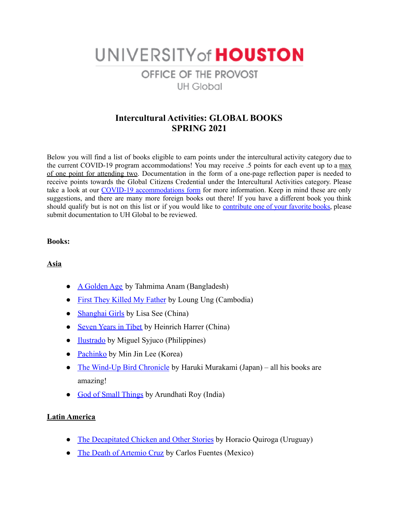# UNIVERSITY of HOUSTON OFFICE OF THE PROVOST **UH Global**

# **Intercultural Activities: GLOBAL BOOKS SPRING 2021**

Below you will find a list of books eligible to earn points under the intercultural activity category due to the current COVID-19 program accommodations! You may receive .5 points for each event up to a max of one point for attending two. Documentation in the form of a one-page reflection paper is needed to receive points towards the Global Citizens Credential under the Intercultural Activities category. Please take a look at our COVID-19 [accommodations](https://uh.edu/provost/university/global/_documents/gcc-covid-19-accommodations-spring-2021-final1.pdf) form for more information. Keep in mind these are only suggestions, and there are many more foreign books out there! If you have a different book you think should qualify but is not on this list or if you would like to [contribute](https://forms.gle/Pk96g5dMuQHtcD9M9) one of your favorite books, please submit documentation to UH Global to be reviewed.

#### **Books:**

### **Asia**

- [A Golden Age](https://www.goodreads.com/book/show/41014713-a-golden-age?ac=1&from_search=true&qid=ddH1PF18lc&rank=1) by Tahmima Anam (Bangladesh)
- [First They Killed My Father](https://www.goodreads.com/book/show/4373.First_They_Killed_My_Father?ac=1&from_search=true&qid=npM0jCr3Tp&rank=1) by Loung Ung (Cambodia)
- [Shanghai Girls](https://www.goodreads.com/book/show/5960325-shanghai-girls?ac=1&from_search=true&qid=ohwDqRZLJg&rank=1) by Lisa See (China)
- [Seven Years in Tibet](https://www.goodreads.com/book/show/270032.Seven_Years_in_Tibet?ac=1&from_search=true&qid=DOv7RxXg5B&rank=1) by Heinrich Harrer (China)
- [Ilustrado](https://www.goodreads.com/book/show/6905480-ilustrado?ac=1&from_search=true&qid=BkJZvNCwky&rank=1) by Miguel Syjuco (Philippines)
- [Pachinko](https://www.goodreads.com/book/show/34051011-pachinko?ac=1&from_search=true&qid=e6qGJ134nH&rank=1) by Min Jin Lee (Korea)
- [The Wind-Up Bird Chronicle](https://www.goodreads.com/book/show/11275.The_Wind_Up_Bird_Chronicle?ac=1&from_search=true&qid=3cVMnS3i4N&rank=1) by Haruki Murakami (Japan) all his books are amazing!
- [God of Small Things](https://www.goodreads.com/book/show/9777.The_God_of_Small_Things?ac=1&from_search=true&qid=tt5DEiVUMD&rank=1) by Arundhati Roy (India)

### **Latin America**

- [The Decapitated Chicken and Other Stories](https://www.goodreads.com/book/show/151605.The_Decapitated_Chicken_and_Other_Stories?ac=1&from_search=true&qid=Viy18pU00K&rank=1) by Horacio Quiroga (Uruguay)
- [The Death of Artemio Cruz](https://www.goodreads.com/book/show/12764.The_Death_of_Artemio_Cruz?ac=1&from_search=true&qid=KXJGeFoE1M&rank=1) by Carlos Fuentes (Mexico)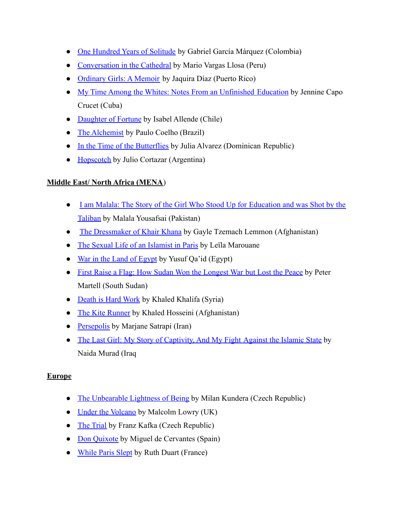- [One Hundred Years of Solitude](https://www.goodreads.com/book/show/320.One_Hundred_Years_of_Solitude?ac=1&from_search=true&qid=LS7nb7LTOz&rank=1) by Gabriel García Márquez (Colombia)
- [Conversation in the Cathedral](https://www.goodreads.com/book/show/53970.Conversation_in_the_Cathedral?ac=1&from_search=true&qid=eesLoqxUOy&rank=1) by Mario Vargas Llosa (Peru)
- [Ordinary Girls: A Memoir](https://www.goodreads.com/book/show/42152409-ordinary-girls?ac=1&from_search=true&qid=rQSDekv3uA&rank=1) by Jaquira Díaz (Puerto Rico)
- [My Time Among the Whites: Notes From an Unfinished](https://www.goodreads.com/book/show/42971990-my-time-among-the-whites?ac=1&from_search=true&qid=yNNEa2RzoZ&rank=1) Education by Jennine Capo Crucet (Cuba)
- [Daughter of Fortune](https://www.goodreads.com/book/show/16527.Daughter_of_Fortune?ac=1&from_search=true&qid=blu30AxK3h&rank=1) by Isabel Allende (Chile)
- [The Alchemist](https://www.goodreads.com/book/show/18144590-the-alchemist?ac=1&from_search=true&qid=rA1oW9NEyv&rank=1) by Paulo Coelho (Brazil)
- [In the Time of the Butterflies](https://www.goodreads.com/book/show/45013993-in-the-time-of-the-butterflies?ac=1&from_search=true&qid=PckkJ8wVQ5&rank=4) by Julia Alvarez (Dominican Republic)
- [Hopscotch](https://www.goodreads.com/book/show/53413.Hopscotch?ac=1&from_search=true&qid=Uz8QmL22xD&rank=1) by Julio Cortazar (Argentina)

# **Middle East/ North Africa (MENA**)

- [I am Malala: The Story of the Girl Who Stood Up for](https://www.goodreads.com/book/show/17851885-i-am-malala?from_choice=false&from_home_module=false) Education and was Shot by the [Taliban](https://www.goodreads.com/book/show/17851885-i-am-malala?from_choice=false&from_home_module=false) by Malala Yousafsai (Pakistan)
- [The Dressmaker of Khair Khana](https://www.goodreads.com/book/show/8584913-the-dressmaker-of-khair-khana?ac=1&from_search=true&qid=yNPXhqgAiu&rank=1) by Gayle Tzemach Lemmon (Afghanistan)
- [The Sexual Life of an Islamist in Paris](https://www.goodreads.com/book/show/7654965-the-sexual-life-of-an-islamist-in-paris?ac=1&from_search=true&qid=UXO4x0Ch0D&rank=1) by Leïla Marouane
- [War in the Land of Egypt](https://www.goodreads.com/book/show/639528.War_in_the_Land_of_Egypt?ac=1&from_search=true&qid=iSribA1j4O&rank=1) by Yusuf Qa'id (Egypt)
- [First Raise a Flag: How Sudan Won the Longest War](https://www.goodreads.com/book/show/36345370-first-raise-a-flag?ac=1&from_search=true&qid=Jb7DOKGoUn&rank=1) but Lost the Peace by Peter Martell (South Sudan)
- [Death is Hard Work](https://www.goodreads.com/book/show/40121989-death-is-hard-work?ac=1&from_search=true&qid=8qSb1ZrXDa&rank=1) by Khaled Khalifa (Syria)
- [The Kite Runner](https://www.goodreads.com/book/show/77203.The_Kite_Runner) by Khaled Hosseini (Afghanistan)
- [Persepolis](https://www.goodreads.com/book/show/9516.Persepolis?ac=1&from_search=true&qid=NYygryPBG3&rank=1) by Marjane Satrapi (Iran)
- [The Last Girl: My Story of Captivity, And My Fight](https://www.goodreads.com/book/show/34346848-the-last-girl?ac=1&from_search=true&qid=sAwR8giIsx&rank=1) Against the Islamic State by Naida Murad (Iraq

## **Europe**

- [The Unbearable Lightness of Being](https://www.goodreads.com/book/show/9717.The_Unbearable_Lightness_of_Being?ac=1&from_search=true&qid=bjQ6ux4Pqx&rank=1) by Milan Kundera (Czech Republic)
- [Under the Volcano](https://www.goodreads.com/book/show/31072.Under_the_Volcano?ac=1&from_search=true&qid=DpCpsNDVq2&rank=1) by Malcolm Lowry (UK)
- [The Trial](https://www.goodreads.com/book/show/17690.The_Trial?ac=1&from_search=true&qid=wC8xQ1QS2P&rank=2) by Franz Kafka (Czech Republic)
- [Don Quixote](https://www.goodreads.com/book/show/3836.Don_Quixote?ac=1&from_search=true&qid=l61VE7JcxM&rank=2) by Miguel de Cervantes (Spain)
- [While Paris Slept](https://www.goodreads.com/book/show/53146101-while-paris-slept) by Ruth Duart (France)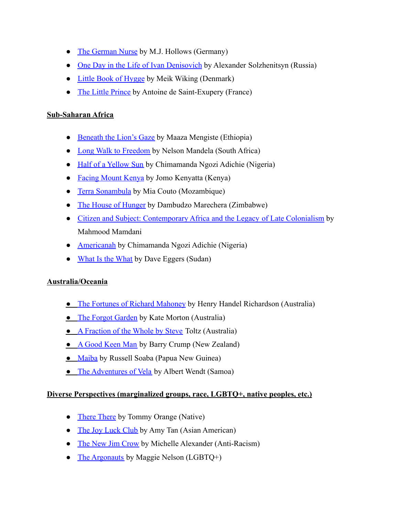- [The German Nurse](https://www.goodreads.com/book/show/55577505-the-german-nurse) by M.J. Hollows (Germany)
- [One Day in the Life of Ivan Denisovich](https://www.goodreads.com/book/show/17125.One_Day_in_the_Life_of_Ivan_Denisovich?ac=1&from_search=true&qid=8x6aNOmvSe&rank=1) by Alexander Solzhenitsyn (Russia)
- [Little Book of Hygge](https://www.goodreads.com/book/show/30045683-the-little-book-of-hygge?ac=1&from_search=true&qid=77ZkyQ9CNJ&rank=1) by Meik Wiking (Denmark)
- [The Little Prince](https://www.goodreads.com/book/show/157993.The_Little_Prince?ac=1&from_search=true&qid=QEroxEbXsX&rank=1) by Antoine de Saint-Exupery (France)

## **Sub-Saharan Africa**

- **●** [Beneath the Lion's Gaze](https://www.goodreads.com/book/show/6544214-beneath-the-lion-s-gaze?ac=1&from_search=true&qid=RiAxpPltpE&rank=1) by Maaza Mengiste (Ethiopia)
- **●** [Long Walk to Freedom](https://www.goodreads.com/book/show/318431.Long_Walk_to_Freedom?from_search=true&from_srp=true&qid=81HlzCJUFa&rank=1) by Nelson Mandela (South Africa)
- **●** [Half of a Yellow Sun](https://www.goodreads.com/book/show/18749.Half_of_a_Yellow_Sun?from_search=true&from_srp=true&qid=LlTIjSnb4O&rank=1) by Chimamanda Ngozi Adichie (Nigeria)
- **●** [Facing Mount Kenya](https://www.goodreads.com/book/show/287041.Facing_Mount_Kenya?from_search=true&from_srp=true&qid=obfTPwN46A&rank=1) by Jomo Kenyatta (Kenya)
- **●** [Terra Sonambula](https://www.goodreads.com/book/show/1146789.Terra_Son_mbula?ac=1&from_search=true&qid=wY1QXXV9ll&rank=2) by Mia Couto (Mozambique)
- **●** [The House of Hunger](https://www.goodreads.com/book/show/863234.The_House_of_Hunger?ac=1&from_search=true&qid=yFskhI8vZ9&rank=1) by Dambudzo Marechera (Zimbabwe)
- **●** [Citizen and Subject: Contemporary Africa and the Legacy](https://www.goodreads.com/book/show/66422.Citizen_and_Subject?ac=1&from_search=true&qid=FFiPGESgvh&rank=1) of Late Colonialism by Mahmood Mamdani
- **●** [Americanah](https://www.goodreads.com/book/show/15796700-americanah?ac=1&from_search=true&qid=Q5mCCPaxNS&rank=1) by Chimamanda Ngozi Adichie (Nigeria)
- **●** [What Is the What](https://www.goodreads.com/book/show/4952.What_Is_the_What?ac=1&from_search=true&qid=d0j0kkpAmR&rank=1) by Dave Eggers (Sudan)

## **Australia/Oceania**

- **●** [The Fortunes of Richard Mahoney](https://www.goodreads.com/book/show/12905898-the-fortunes-of-richard-mahony?ac=1&from_search=true&qid=jTvAQnEvaR&rank=1) by Henry Handel Richardson (Australia)
- **•** [The Forgot Garden](https://www.goodreads.com/book/show/3407877-the-forgotten-garden?ac=1&from_search=true&qid=c87hSlokFc&rank=2) by Kate Morton (Australia)
- **●** [A Fraction of the Whole by Steve](https://www.goodreads.com/book/show/1833852.A_Fraction_of_the_Whole?ac=1&from_search=true&qid=6HyMOGm0rO&rank=1) Toltz (Australia)
- **●** [A Good Keen Man](https://www.goodreads.com/book/show/1995345.A_Good_Keen_Man?ac=1&from_search=true&qid=mfsJbepZ5T&rank=1) by Barry Crump (New Zealand)
- **●** [Maiba](https://www.goodreads.com/book/show/4444933-maiba-a-papuan-novel?from_search=true&from_srp=true&qid=z76GdNRMGE&rank=1) by Russell Soaba (Papua New Guinea)
- **•** [The Adventures of Vela](https://www.goodreads.com/book/show/6684742-the-adventures-of-vela?ac=1&from_search=true&qid=catRfMSuDy&rank=1) by Albert Wendt (Samoa)

### **Diverse Perspectives (marginalized groups, race, LGBTQ+, native peoples, etc.)**

- **●** [There There](https://www.goodreads.com/book/show/36692478-there-there?ac=1&from_search=true&qid=gGg8YoItTH&rank=1) by Tommy Orange (Native)
- **●** [The Joy Luck Club](https://www.goodreads.com/book/show/7763.The_Joy_Luck_Club?ac=1&from_search=true&qid=q0854lMkJN&rank=1) by Amy Tan (Asian American)
- **●** [The New Jim Crow](https://www.goodreads.com/book/show/6792458-the-new-jim-crow?ac=1&from_search=true&qid=dVhLwDG0Kh&rank=1) by Michelle Alexander (Anti-Racism)
- **•** [The Argonauts](https://www.goodreads.com/book/show/22929741-the-argonauts?ac=1&from_search=true&qid=V9njy8d2IG&rank=1) by Maggie Nelson (LGBTQ+)